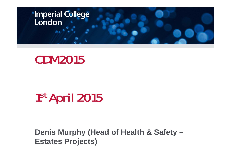

# CDM2015

# 1st April 2015

**Denis Murphy (Head of Health & Safety – Estates Projects)**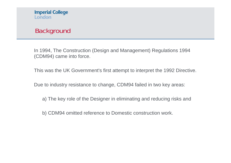In 1994, The Construction (Design and Management) Regulations 1994 (CDM94) came into force.

This was the UK Government's first attempt to interpret the 1992 Directive.

Due to industry resistance to change, CDM94 failed in two key areas:

- a) The key role of the Designer in eliminating and reducing risks and
- b) CDM94 omitted reference to Domestic construction work.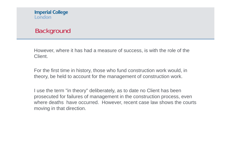However, where it has had a measure of success, is with the role of the Client.

For the first time in history, those who fund construction work would, in theory, be held to account for the management of construction work.

I use the term "in theory" deliberately, as to date no Client has been prosecuted for failures of management in the construction process, even where deaths have occurred. However, recent case law shows the courts moving in that direction.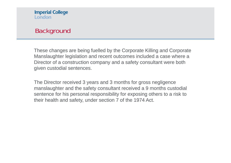These changes are being fuelled by the Corporate Killing and Corporate Manslaughter legislation and recent outcomes included a case where a Director of a construction company and a safety consultant were both given custodial sentences.

The Director received 3 years and 3 months for gross negligence manslaughter and the safety consultant received a 9 months custodial sentence for his personal responsibility for exposing others to a risk to their health and safety, under section 7 of the 1974 Act.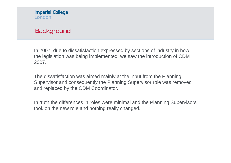In 2007, due to dissatisfaction expressed by sections of industry in how the legislation was being implemented, we saw the introduction of CDM 2007.

The dissatisfaction was aimed mainly at the input from the Planning Supervisor and consequently the Planning Supervisor role was removed and replaced by the CDM Coordinator.

In truth the differences in roles were minimal and the Planning Supervisors took on the new role and nothing really changed.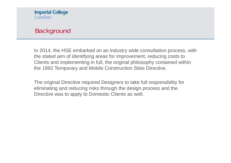

In 2014, the HSE embarked on an industry wide consultation process, with the stated aim of identifying areas for improvement, reducing costs to Clients and implementing in full, the original philosophy contained within the 1992 Temporary and Mobile Construction Sites Directive.

The original Directive required Designers to take full responsibility for eliminating and reducing risks through the design process and the Directive was to apply to Domestic Clients as well.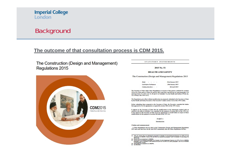

#### **The outcome of that consultation process is CDM 2015.**

The Construction (Design and Management) Regulations 2015



STATUTORY INSTRUMENTS

2015 No. 51

**HEALTH AND SAFETY** 

The Construction (Design and Management) Regulations 2015

| Made                  | $\cdots$               |  |  |  | 22nd January 2015 |
|-----------------------|------------------------|--|--|--|-------------------|
|                       | Laid before Parliament |  |  |  | 29th January 2015 |
| Coming into force - - |                        |  |  |  | 6th April 2015    |

The Secretary of State makes these Regulations in exercise of the powers conferred by sections 15(1), (2), (3)(a) and (c), (5)(a), (8) and (9), 80(1) and (2)(c) and 82(3)(a) of, and paragraphs 1(1) and (2), 6 to12, 14, 15(1), 16, 18, 20 and 21 of Schedale 3 to, the Health and Safety at Work etc. Act 1974(a) ("the 1974 Act").

The Regulations give effect without modifications to proposals submitted to the Secretary of State<br>by the Health and Safety Executive ("the Executive") under section  $11(3)$  of the  $1974$  Act(b).

Before submitting those proposals to the Secretary of State, the Executive consulted the bodies that appeared to it to be appropriate as required by section 50(3) of the 1974 Act(c).

It appears to the Secretary of State that the modifications to the instruments marked with an as appears to the Schedule 5 are expedient for the purposes of section 80(1) of the 1974 Act, assessment of the Schedule 5 are expedient for the purposes of section 80(1) of the 1974 Act, It also appears to the Schedule 5

PART 1

Introduction

**Citation and commencement** 

1. These Regulations may be cited as the Construction (Design and Management) Regulations 2015 and come into force on 6th April 2015 immediately after the Mines Regulations 2014(e).

<sup>(</sup>a)  $1974 \pm 37$ . Section 15(1) was substituted by paragraph 6 of Schedule 15 to the Employment Prenection Act 1975 (c,71) and 2003-16, 2002/794. Section 15(2) and (2)(c) was annealed by paragraphs 1 and 5 of Schedule 12 t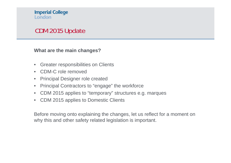

### CDM 2015 Update

**What are the main changes?**

- Greater responsibilities on Clients
- CDM-C role removed
- •Principal Designer role created
- Principal Contractors to "engage" the workforce
- CDM 2015 applies to "temporary" structures e.g. marques
- CDM 2015 applies to Domestic Clients

Before moving onto explaining the changes, let us reflect for a moment on why this and other safety related legislation is important.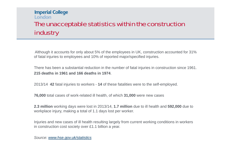### **Imperial College** London The unacceptable statistics within the construction industry

Although it accounts for only about 5% of the employees in UK, construction accounted for 31% of fatal injuries to employees and 10% of reported major/specified injuries.

There has been a substantial reduction in the number of fatal injuries in construction since 1961. **215 deaths in 1961 and 166 deaths in 1974**.

2013/14 **42** fatal injuries to workers - **14** of these fatalities were to the self-employed.

**76,000** total cases of work-related ill health, of which **31,000** were new cases

**2.3 million** working days were lost in 2013/14, **1.7 million** due to ill health and **592,000** due to workplace injury, making a total of 1.1 days lost per worker.

Injuries and new cases of ill health resulting largely from current working conditions in workers in construction cost society over £1.1 billion a year.

*Source: www.hse.gov.uk/statistics*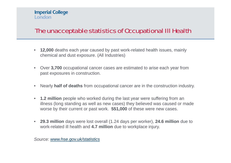# The unacceptable statistics of Occupational Ill Health

- **12,000** deaths each year caused by past work-related health issues, mainly chemical and dust exposure. (All Industries)
- Over **3,700** occupational cancer cases are estimated to arise each year from past exposures in construction.
- •Nearly **half of deaths** from occupational cancer are in the construction industry.
- **1.2 million** people who worked during the last year were suffering from an illness (long standing as well as new cases) they believed was caused or made worse by their current or past work. **551,000** of these were new cases.
- **29.3 million** days were lost overall (1.24 days per worker), **24.6 million** due to work-related ill health and **4.7 million** due to workplace injury.

*Source: www.hse.gov.uk/statistics*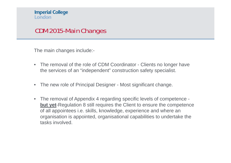### CDM 2015-Main Changes

The main changes include:-

- The removal of the role of CDM Coordinator Clients no longer have the services of an "independent" construction safety specialist.
- The new role of Principal Designer Most significant change.
- The removal of Appendix 4 regarding specific levels of competence **but yet**-Regulation 8 still requires the Client to ensure the competence of all appointees i.e. skills, knowledge, experience and where an organisation is appointed, organisational capabilities to undertake the tasks involved.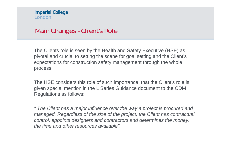### Main Changes - Client's Role

The Clients role is seen by the Health and Safety Executive (HSE) as pivotal and crucial to setting the scene for goal setting and the Client's expectations for construction safety management through the whole process.

The HSE considers this role of such importance, that the Client's role is given special mention in the L Series Guidance document to the CDM Regulations as follows:

*" The Client has a major influence over the way a project is procured and managed. Regardless of the size of the project, the Client has contractual control, appoints designers and contractors and determines the money, the time and other resources available".*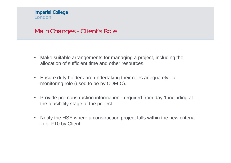# Main Changes - Client's Role

- $\bullet$  Make suitable arrangements for managing a project, including the allocation of sufficient time and other resources.
- Ensure duty holders are undertaking their roles adequately <sup>a</sup> monitoring role (used to be by CDM-C).
- Provide pre-construction information required from day 1 including at the feasibility stage of the project.
- Notify the HSE where a construction project falls within the new criteria - i.e. F10 by Client.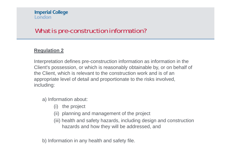# What is pre-construction information?

### **Regulation 2**

Interpretation defines pre-construction information as information in the Client's possession, or which is reasonably obtainable by, or on behalf of the Client, which is relevant to the construction work and is of an appropriate level of detail and proportionate to the risks involved, including:

a) Information about:

- (i) the project
- (ii) planning and management of the project
- (iii) health and safety hazards, including design and construction hazards and how they will be addressed, and

b) Information in any health and safety file.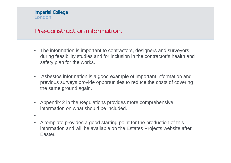### Pre-construction information.

- The information is important to contractors, designers and surveyors during feasibility studies and for inclusion in the contractor's health and safety plan for the works.
- • Asbestos information is a good example of important information and previous surveys provide opportunities to reduce the costs of covering the same ground again.
- Appendix 2 in the Regulations provides more comprehensive information on what should be included.
- •
- • A template provides a good starting point for the production of this information and will be available on the Estates Projects website after Easter.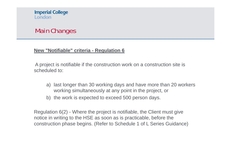

# Main Changes

#### **New "Notifiable" criteria - Regulation 6**

A project is notifiable if the construction work on a construction site is scheduled to:

- a) last longer than 30 working days and have more than 20 workers working simultaneously at any point in the project, or
- b) the work is expected to exceed 500 person days.

Regulation 6(2) - Where the project is notifiable, the Client must give notice in writing to the HSE as soon as is practicable, before the construction phase begins. (Refer to Schedule 1 of L Series Guidance)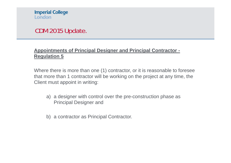

# CDM 2015 Update.

### **Appointments of Principal Designer and Principal Contractor - Regulation 5**

Where there is more than one (1) contractor, or it is reasonable to foresee that more than 1 contractor will be working on the project at any time, the Client must appoint in writing:

- a) a designer with control over the pre-construction phase as Principal Designer and
- b) a contractor as Principal Contractor.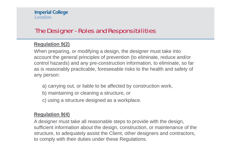# The Designer - Roles and Responsibilities

### **Regulation 9(2)**

When preparing, or modifying a design, the designer must take into account the general principles of prevention (to eliminate, reduce and/or control hazards) and any pre-construction information, to eliminate, so far as is reasonably practicable, foreseeable risks to the health and safety of any person:

- a) carrying out, or liable to be affected by construction work,
- b) maintaining or cleaning a structure, or
- c) using a structure designed as a workplace.

### **Regulation 9(4)**

A designer must take all reasonable steps to provide with the design, sufficient information about the design, construction, or maintenance of the structure, to adequately assist the Client, other designers and contractors, to comply with their duties under these Regulations.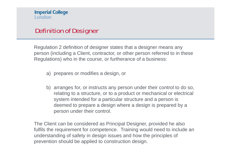# Definition of Designer

Regulation 2 definition of designer states that a designer means any person (including a Client, contractor, or other person referred to in these Regulations) who in the course, or furtherance of a business:

- a) prepares or modifies a design, or
- b) arranges for, or instructs any person under their control to do so, relating to a structure, or to a product or mechanical or electrical system intended for a particular structure and a person is deemed to prepare a design where a design is prepared by a person under their control.

The Client can be considered as Principal Designer, provided he also fulfils the requirement for competence. Training would need to include an understanding of safety in design issues and how the principles of prevention should be applied to construction design.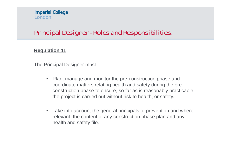#### **Regulation 11**

The Principal Designer must:

- • Plan, manage and monitor the pre-construction phase and coordinate matters relating health and safety during the preconstruction phase to ensure, so far as is reasonably practicable, the project is carried out without risk to health, or safety.
- Take into account the general principals of prevention and where relevant, the content of any construction phase plan and any health and safety file.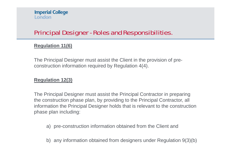### **Regulation 11(6)**

The Principal Designer must assist the Client in the provision of preconstruction information required by Regulation 4(4).

### **Regulation 12(3)**

The Principal Designer must assist the Principal Contractor in preparing the construction phase plan, by providing to the Principal Contractor, all information the Principal Designer holds that is relevant to the construction phase plan including:

- a) pre-construction information obtained from the Client and
- b) any information obtained from designers under Regulation 9(3)(b)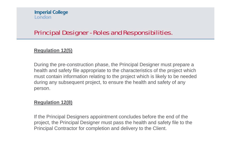#### **Regulation 12(5)**

During the pre-construction phase, the Principal Designer must prepare a health and safety file appropriate to the characteristics of the project which must contain information relating to the project which is likely to be needed during any subsequent project, to ensure the health and safety of any person.

#### **Regulation 12(8)**

If the Principal Designers appointment concludes before the end of the project, the Principal Designer must pass the health and safety file to the Principal Contractor for completion and delivery to the Client.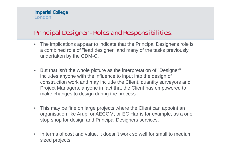- • The implications appear to indicate that the Principal Designer's role is a combined role of "lead designer" and many of the tasks previously undertaken by the CDM-C.
- $\bullet$  But that isn't the whole picture as the interpretation of "Designer" includes anyone with the influence to input into the design of construction work and may include the Client, quantity surveyors and Project Managers, anyone in fact that the Client has empowered to make changes to design during the process.
- This may be fine on large projects where the Client can appoint an organisation like Arup, or AECOM, or EC Harris for example, as a one stop shop for design and Principal Designers services.
- In terms of cost and value, it doesn't work so well for small to medium sized projects.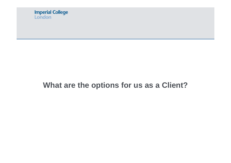

# **What are the options for us as a Client?**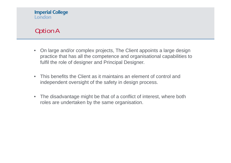# Option A

- On large and/or complex projects, The Client appoints a large design practice that has all the competence and organisational capabilities to fulfil the role of designer and Principal Designer.
- This benefits the Client as it maintains an element of control and independent oversight of the safety in design process.
- The disadvantage might be that of a conflict of interest, where both roles are undertaken by the same organisation.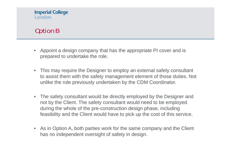# Option B

- Appoint a design company that has the appropriate PI cover and is prepared to undertake the role.
- • This may require the Designer to employ an external safety consultant to assist them with the safety management element of those duties. Not unlike the role previously undertaken by the CDM Coordinator.
- • The safety consultant would be directly employed by the Designer and not by the Client. The safety consultant would need to be employed during the whole of the pre-construction design phase, including feasibility and the Client would have to pick up the cost of this service.
- As in Option A, both parties work for the same company and the Client has no independent oversight of safety in design.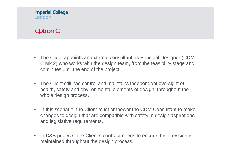# Option C

- The Client appoints an external consultant as Principal Designer (CDM-C Mk 2) who works with the design team, from the feasibility stage and continues until the end of the project.
- The Client still has control and maintains independent oversight of health, safety and environmental elements of design, throughout the whole design process.
- • In this scenario, the Client must empower the CDM Consultant to make changes to design that are compatible with safety in design aspirations and legislative requirements.
- •In D&B projects, the Client's contract needs to ensure this provision is maintained throughout the design process.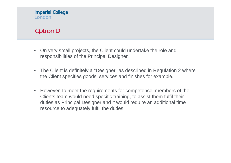# Option D

- On very small projects, the Client could undertake the role and responsibilities of the Principal Designer.
- The Client is definitely a "Designer" as described in Regulation 2 where the Client specifies goods, services and finishes for example.
- However, to meet the requirements for competence, members of the Clients team would need specific training, to assist them fulfil their duties as Principal Designer and it would require an additional time resource to adequately fulfil the duties.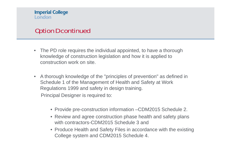# Option D continued

- The PD role requires the individual appointed, to have a thorough knowledge of construction legislation and how it is applied to construction work on site.
- A thorough knowledge of the "principles of prevention" as defined in Schedule 1 of the Management of Health and Safety at Work Regulations 1999 and safety in design training. Principal Designer is required to:
	- Provide pre-construction information –CDM2015 Schedule 2.
	- Review and agree construction phase health and safety plans with contractors-CDM2015 Schedule 3 and
	- Produce Health and Safety Files in accordance with the existing College system and CDM2015 Schedule 4.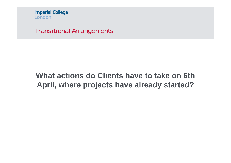

# **What actions do Clients have to take on 6th April, where projects have already started?**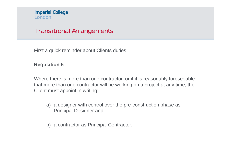First a quick reminder about Clients duties:

#### **Regulation 5**

Where there is more than one contractor, or if it is reasonably foreseeable that more than one contractor will be working on a project at any time, the Client must appoint in writing:

- a) a designer with control over the pre-construction phase as Principal Designer and
- b) a contractor as Principal Contractor.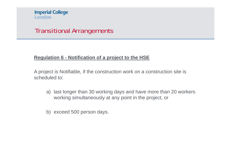#### **Regulation 6 - Notification of a project to the HSE**

A project is Notifiable, if the construction work on a construction site is scheduled to:

- a) last longer than 30 working days and have more than 20 workers working simultaneously at any point in the project, or
- b) exceed 500 person days.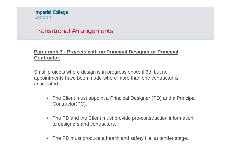### **Paragraph 3 - Projects with no Principal Designer or Principal Contractor.**

Small projects where design is in progress on April 6th but no appointments have been made-where more than one contractor is anticipated:

- The Client must appoint a Principal Designer (PD) and a Principal Contractor(PC).
- The PD and the Client must provide pre-construction information to designers and contractors.
- The PD must produce a health and safety file, at tender stage.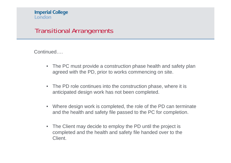Continued….

- The PC must provide a construction phase health and safety plan agreed with the PD, prior to works commencing on site.
- The PD role continues into the construction phase, where it is anticipated design work has not been completed.
- Where design work is completed, the role of the PD can terminate and the health and safety file passed to the PC for completion.
- The Client may decide to employ the PD until the project is completed and the health and safety file handed over to the Client.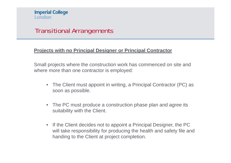#### **Projects with no Principal Designer or Principal Contractor**

Small projects where the construction work has commenced on site and where more than one contractor is employed:

- The Client must appoint in writing, a Principal Contractor (PC) as soon as possible.
- The PC must produce a construction phase plan and agree its suitability with the Client.
- If the Client decides not to appoint a Principal Designer, the PC will take responsibility for producing the health and safety file and handing to the Client at project completion.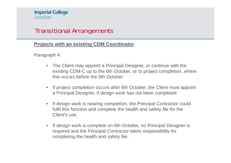#### **Projects with an existing CDM Coordinator**

Paragraph 4:

- The Client may appoint a Principal Designer, or continue with the existing CDM-C up to the 6th October, or to project completion, where this occurs before the 6th October.
- If project completion occurs after 6th October, the Client must appoint a Principal Designer, if design work has not been completed.
- • If design work is nearing completion, the Principal Contractor could fulfil this function and complete the health and safety file for the Client's use.
- •If design work is complete on 6th October, no Principal Designer is required and the Principal Contractor takes responsibility for completing the health and safety file.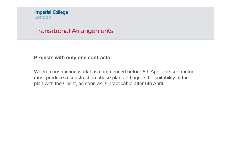#### **Projects with only one contractor**

Where construction work has commenced before 6th April, the contractor must produce a construction phase plan and agree the suitability of the plan with the Client, as soon as is practicable after 6th April.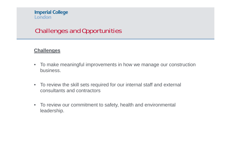# Challenges and Opportunities

### **Challenges**

- To make meaningful improvements in how we manage our construction business.
- To review the skill sets required for our internal staff and external consultants and contractors
- To review our commitment to safety, health and environmental leadership.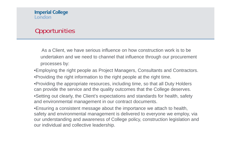# **Opportunities**

As a Client, we have serious influence on how construction work is to be undertaken and we need to channel that influence through our procurement processes by:

- •Employing the right people as Project Managers, Consultants and Contractors. •Providing the right information to the right people at the right time.
- •Providing the appropriate resources, including time, so that all Duty Holders can provide the service and the quality outcomes that the College deserves.
- •Setting out clearly, the Client's expectations and standards for health, safety and environmental management in our contract documents.
- •Ensuring a consistent message about the importance we attach to health, safety and environmental management is delivered to everyone we employ, via our understanding and awareness of College policy, construction legislation and our individual and collective leadership.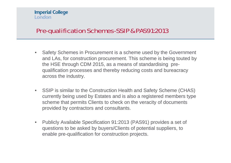# Pre-qualification Schemes-SSIP & PAS91:2013

- • Safety Schemes in Procurement is a scheme used by the Government and LAs, for construction procurement. This scheme is being touted by the HSE through CDM 2015, as a means of standardising prequalification processes and thereby reducing costs and bureacracy across the industry.
- SSIP is similar to the Construction Health and Safety Scheme (CHAS) currently being used by Estates and is also a registered members type scheme that permits Clients to check on the veracity of documents provided by contractors and consultants.
- $\bullet$  Publicly Available Specification 91:2013 (PAS91) provides a set of questions to be asked by buyers/Clients of potential suppliers, to enable pre-qualification for construction projects.